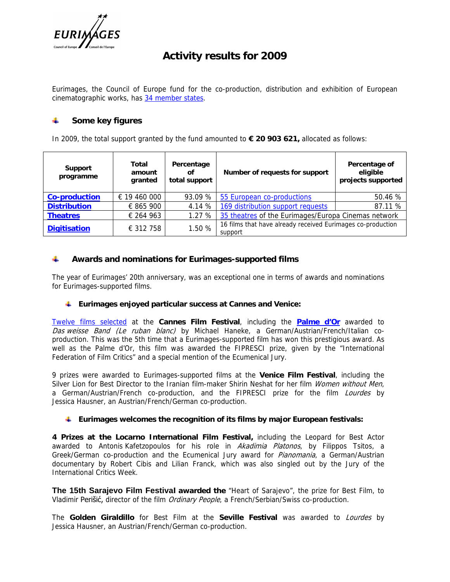

# **Activity results for 2009**

Eurimages, the Council of Europe fund for the co-production, distribution and exhibition of European cinematographic works, has [34 member states.](http://www.coe.int/t/dg4/eurimages/About/MemberStates_en.asp)

#### 4 **Some key figures**

In 2009, the total support granted by the fund amounted to **€ 20 903 621,** allocated as follows:

| Support<br>programme | Total<br>amount<br>granted | Percentage<br>Οf<br>total support | Number of requests for support                                         | Percentage of<br>eligible<br>projects supported |
|----------------------|----------------------------|-----------------------------------|------------------------------------------------------------------------|-------------------------------------------------|
| Co-production        | $\epsilon$ 19 460 000      | 93.09 %                           | 55 European co-productions                                             | 50.46 %                                         |
| <b>Distribution</b>  | € 865 900                  | 4.14 %                            | 169 distribution support requests                                      | 87.11 %                                         |
| <b>Theatres</b>      | € 264 963                  | 1.27%                             | 35 theatres of the Eurimages/Europa Cinemas network                    |                                                 |
| Digitisation         | € 312 758                  | 1.50 %                            | 16 films that have already received Eurimages co-production<br>support |                                                 |

4 **Awards and nominations for Eurimages-supported films**

The year of Eurimages' 20th anniversary, was an exceptional one in terms of awards and nominations for Eurimages-supported films.

**Eurimages enjoyed particular success at Cannes and Venice:**

[Twelve films selected](https://wcd.coe.int/ViewDoc.jsp?Ref=PR365(2009)&Language=lanEnglish&Ver=original&Site=COE&BackColorInternet=DBDCF2&BackColorIntranet=FDC864&BackColorLogged=FDC864) at the **Cannes Film Festival**, including the **[Palme d'Or](https://wcd.coe.int/ViewDoc.jsp?Ref=PR410(2009)&Language=lanEnglish&Ver=original&Site=COE&BackColorInternet=DBDCF2&BackColorIntranet=FDC864&BackColorLogged=FDC864)** awarded to *Das weisse Band (Le ruban blanc)* by Michael Haneke, a German/Austrian/French/Italian coproduction. This was the 5th time that a Eurimages-supported film has won this prestigious award. As well as the Palme d'Or, this film was awarded the FIPRESCI prize, given by the "International Federation of Film Critics" and a special mention of the Ecumenical Jury.

9 prizes were awarded to Eurimages-supported films at the **Venice Film Festival**, including the Silver Lion for Best Director to the Iranian film-maker Shirin Neshat for her film *Women without Men*, a German/Austrian/French co-production, and the FIPRESCI prize for the film *Lourdes* by Jessica Hausner, an Austrian/French/German co-production.

**Eurimages welcomes the recognition of its films by major European festivals:** 

**4 Prizes at the Locarno International Film Festival,** including the Leopard for Best Actor awarded to Antonis Kafetzopoulos for his role in *Akadimia Platonos*, by Filippos Tsitos, a Greek/German co-production and the Ecumenical Jury award for *Pianomania*, a German/Austrian documentary by Robert Cibis and Lilian Franck, which was also singled out by the Jury of the International Critics Week.

**The 15th Sarajevo Film Festival awarded the** "Heart of Sarajevo", the prize for Best Film, to Vladimir Perišić, director of the film *Ordinary People*, a French/Serbian/Swiss co-production.

The **Golden Giraldillo** for Best Film at the **Seville Festival** was awarded to *Lourdes* by Jessica Hausner, an Austrian/French/German co-production.